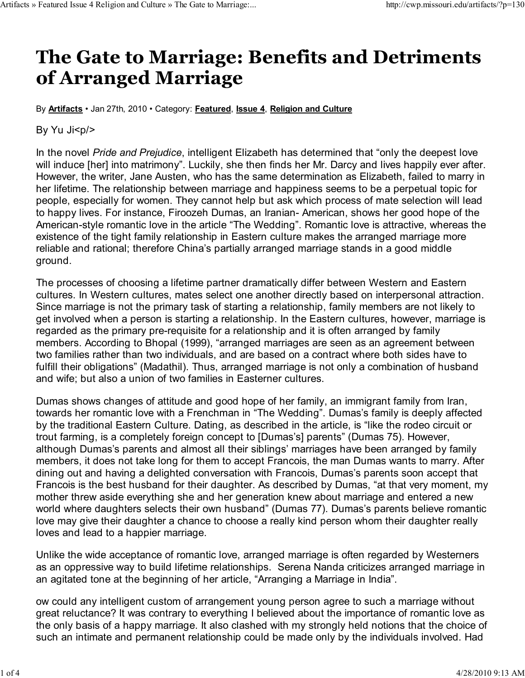## The Gate to Marriage: Benefits and Detriments of Arranged Marriage

By **Artifacts** • Jan 27th, 2010 • Category: Featured, Issue 4, Religion and Culture

By Yu Ji<p/>

In the novel *Pride and Prejudice*, intelligent Elizabeth has determined that "only the deepest love will induce [her] into matrimony". Luckily, she then finds her Mr. Darcy and lives happily ever after. However, the writer, Jane Austen, who has the same determination as Elizabeth, failed to marry in her lifetime. The relationship between marriage and happiness seems to be a perpetual topic for people, especially for women. They cannot help but ask which process of mate selection will lead to happy lives. For instance, Firoozeh Dumas, an Iranian- American, shows her good hope of the American-style romantic love in the article "The Wedding". Romantic love is attractive, whereas the existence of the tight family relationship in Eastern culture makes the arranged marriage more reliable and rational; therefore China's partially arranged marriage stands in a good middle ground.

The processes of choosing a lifetime partner dramatically differ between Western and Eastern cultures. In Western cultures, mates select one another directly based on interpersonal attraction. Since marriage is not the primary task of starting a relationship, family members are not likely to get involved when a person is starting a relationship. In the Eastern cultures, however, marriage is regarded as the primary pre-requisite for a relationship and it is often arranged by family members. According to Bhopal (1999), "arranged marriages are seen as an agreement between two families rather than two individuals, and are based on a contract where both sides have to fulfill their obligations" (Madathil). Thus, arranged marriage is not only a combination of husband and wife; but also a union of two families in Easterner cultures.

Dumas shows changes of attitude and good hope of her family, an immigrant family from Iran, towards her romantic love with a Frenchman in "The Wedding". Dumas's family is deeply affected by the traditional Eastern Culture. Dating, as described in the article, is "like the rodeo circuit or trout farming, is a completely foreign concept to [Dumas's] parents" (Dumas 75). However, although Dumas's parents and almost all their siblings' marriages have been arranged by family members, it does not take long for them to accept Francois, the man Dumas wants to marry. After dining out and having a delighted conversation with Francois, Dumas's parents soon accept that Francois is the best husband for their daughter. As described by Dumas, "at that very moment, my mother threw aside everything she and her generation knew about marriage and entered a new world where daughters selects their own husband" (Dumas 77). Dumas's parents believe romantic love may give their daughter a chance to choose a really kind person whom their daughter really loves and lead to a happier marriage.

Unlike the wide acceptance of romantic love, arranged marriage is often regarded by Westerners as an oppressive way to build lifetime relationships. Serena Nanda criticizes arranged marriage in an agitated tone at the beginning of her article, "Arranging a Marriage in India".

ow could any intelligent custom of arrangement young person agree to such a marriage without great reluctance? It was contrary to everything I believed about the importance of romantic love as the only basis of a happy marriage. It also clashed with my strongly held notions that the choice of such an intimate and permanent relationship could be made only by the individuals involved. Had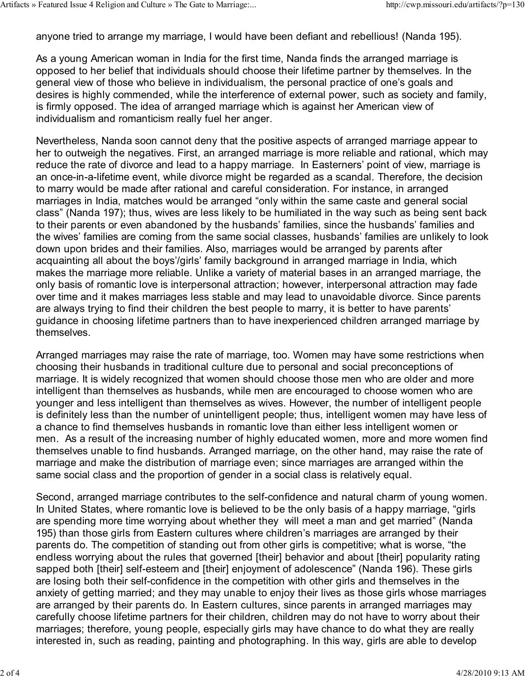anyone tried to arrange my marriage, I would have been defiant and rebellious! (Nanda 195).

As a young American woman in India for the first time, Nanda finds the arranged marriage is opposed to her belief that individuals should choose their lifetime partner by themselves. In the general view of those who believe in individualism, the personal practice of one's goals and desires is highly commended, while the interference of external power, such as society and family, is firmly opposed. The idea of arranged marriage which is against her American view of individualism and romanticism really fuel her anger.

Nevertheless, Nanda soon cannot deny that the positive aspects of arranged marriage appear to her to outweigh the negatives. First, an arranged marriage is more reliable and rational, which may reduce the rate of divorce and lead to a happy marriage. In Easterners' point of view, marriage is an once-in-a-lifetime event, while divorce might be regarded as a scandal. Therefore, the decision to marry would be made after rational and careful consideration. For instance, in arranged marriages in India, matches would be arranged "only within the same caste and general social class" (Nanda 197); thus, wives are less likely to be humiliated in the way such as being sent back to their parents or even abandoned by the husbands' families, since the husbands' families and the wives' families are coming from the same social classes, husbands' families are unlikely to look down upon brides and their families. Also, marriages would be arranged by parents after acquainting all about the boys'/girls' family background in arranged marriage in India, which makes the marriage more reliable. Unlike a variety of material bases in an arranged marriage, the only basis of romantic love is interpersonal attraction; however, interpersonal attraction may fade over time and it makes marriages less stable and may lead to unavoidable divorce. Since parents are always trying to find their children the best people to marry, it is better to have parents' guidance in choosing lifetime partners than to have inexperienced children arranged marriage by themselves.

Arranged marriages may raise the rate of marriage, too. Women may have some restrictions when choosing their husbands in traditional culture due to personal and social preconceptions of marriage. It is widely recognized that women should choose those men who are older and more intelligent than themselves as husbands, while men are encouraged to choose women who are younger and less intelligent than themselves as wives. However, the number of intelligent people is definitely less than the number of unintelligent people; thus, intelligent women may have less of a chance to find themselves husbands in romantic love than either less intelligent women or men. As a result of the increasing number of highly educated women, more and more women find themselves unable to find husbands. Arranged marriage, on the other hand, may raise the rate of marriage and make the distribution of marriage even; since marriages are arranged within the same social class and the proportion of gender in a social class is relatively equal.

Second, arranged marriage contributes to the self-confidence and natural charm of young women. In United States, where romantic love is believed to be the only basis of a happy marriage, "girls are spending more time worrying about whether they will meet a man and get married" (Nanda 195) than those girls from Eastern cultures where children's marriages are arranged by their parents do. The competition of standing out from other girls is competitive; what is worse, "the endless worrying about the rules that governed [their] behavior and about [their] popularity rating sapped both [their] self-esteem and [their] enjoyment of adolescence" (Nanda 196). These girls are losing both their self-confidence in the competition with other girls and themselves in the anxiety of getting married; and they may unable to enjoy their lives as those girls whose marriages are arranged by their parents do. In Eastern cultures, since parents in arranged marriages may carefully choose lifetime partners for their children, children may do not have to worry about their marriages; therefore, young people, especially girls may have chance to do what they are really interested in, such as reading, painting and photographing. In this way, girls are able to develop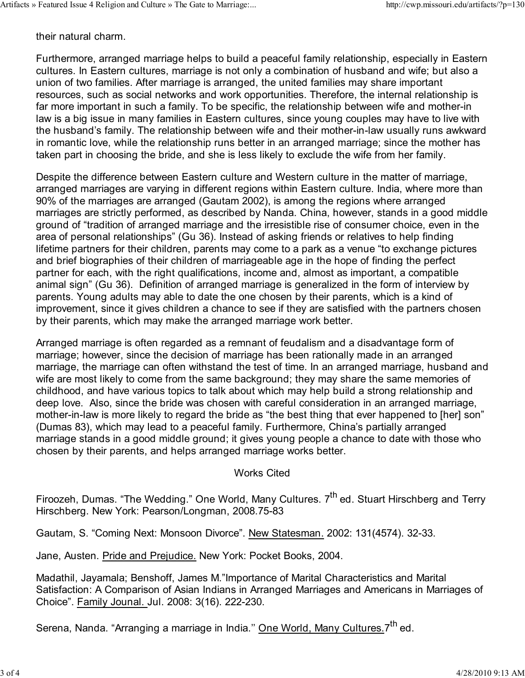their natural charm.

Furthermore, arranged marriage helps to build a peaceful family relationship, especially in Eastern cultures. In Eastern cultures, marriage is not only a combination of husband and wife; but also a union of two families. After marriage is arranged, the united families may share important resources, such as social networks and work opportunities. Therefore, the internal relationship is far more important in such a family. To be specific, the relationship between wife and mother-in law is a big issue in many families in Eastern cultures, since young couples may have to live with the husband's family. The relationship between wife and their mother-in-law usually runs awkward in romantic love, while the relationship runs better in an arranged marriage; since the mother has taken part in choosing the bride, and she is less likely to exclude the wife from her family.

Despite the difference between Eastern culture and Western culture in the matter of marriage, arranged marriages are varying in different regions within Eastern culture. India, where more than 90% of the marriages are arranged (Gautam 2002), is among the regions where arranged marriages are strictly performed, as described by Nanda. China, however, stands in a good middle ground of "tradition of arranged marriage and the irresistible rise of consumer choice, even in the area of personal relationships" (Gu 36). Instead of asking friends or relatives to help finding lifetime partners for their children, parents may come to a park as a venue "to exchange pictures and brief biographies of their children of marriageable age in the hope of finding the perfect partner for each, with the right qualifications, income and, almost as important, a compatible animal sign" (Gu 36). Definition of arranged marriage is generalized in the form of interview by parents. Young adults may able to date the one chosen by their parents, which is a kind of improvement, since it gives children a chance to see if they are satisfied with the partners chosen by their parents, which may make the arranged marriage work better.

Arranged marriage is often regarded as a remnant of feudalism and a disadvantage form of marriage; however, since the decision of marriage has been rationally made in an arranged marriage, the marriage can often withstand the test of time. In an arranged marriage, husband and wife are most likely to come from the same background; they may share the same memories of childhood, and have various topics to talk about which may help build a strong relationship and deep love. Also, since the bride was chosen with careful consideration in an arranged marriage, mother-in-law is more likely to regard the bride as "the best thing that ever happened to [her] son" (Dumas 83), which may lead to a peaceful family. Furthermore, China's partially arranged marriage stands in a good middle ground; it gives young people a chance to date with those who chosen by their parents, and helps arranged marriage works better.

## Works Cited

Firoozeh, Dumas. "The Wedding." One World, Many Cultures. 7<sup>th</sup> ed. Stuart Hirschberg and Terry Hirschberg. New York: Pearson/Longman, 2008.75-83

Gautam, S. "Coming Next: Monsoon Divorce". New Statesman. 2002: 131(4574). 32-33.

Jane, Austen. Pride and Prejudice. New York: Pocket Books, 2004.

Madathil, Jayamala; Benshoff, James M."Importance of Marital Characteristics and Marital Satisfaction: A Comparison of Asian Indians in Arranged Marriages and Americans in Marriages of Choice". Family Jounal. Jul. 2008: 3(16). 222-230.

Serena, Nanda. "Arranging a marriage in India." One World, Many Cultures. 7<sup>th</sup> ed.